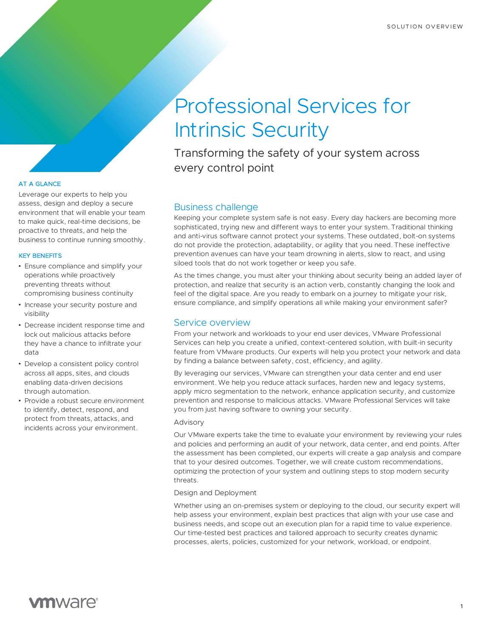# Professional Services for Intrinsic Security

Transforming the safety of your system across every control point

# Business challenge

Keeping your complete system safe is not easy. Every day hackers are becoming more sophisticated, trying new and different ways to enter your system. Traditional thinking and anti-virus software cannot protect your systems. These outdated, bolt-on systems do not provide the protection, adaptability, or agility that you need. These ineffective prevention avenues can have your team drowning in alerts, slow to react, and using siloed tools that do not work together or keep you safe.

As the times change, you must alter your thinking about security being an added layer of protection, and realize that security is an action verb, constantly changing the look and feel of the digital space. Are you ready to embark on a journey to mitigate your risk, ensure compliance, and simplify operations all while making your environment safer?

# Service overview

From your network and workloads to your end user devices, VMware Professional Services can help you create a unified, context-centered solution, with built-in security feature from VMware products. Our experts will help you protect your network and data by finding a balance between safety, cost, efficiency, and agility.

By leveraging our services, VMware can strengthen your data center and end user environment. We help you reduce attack surfaces, harden new and legacy systems, apply micro segmentation to the network, enhance application security, and customize prevention and response to malicious attacks. VMware Professional Services will take you from just having software to owning your security.

## Advisory

Our VMware experts take the time to evaluate your environment by reviewing your rules and policies and performing an audit of your network, data center, and end points. After the assessment has been completed, our experts will create a gap analysis and compare that to your desired outcomes. Together, we will create custom recommendations, optimizing the protection of your system and outlining steps to stop modern security threats.

## Design and Deployment

Whether using an on-premises system or deploying to the cloud, our security expert will help assess your environment, explain best practices that align with your use case and business needs, and scope out an execution plan for a rapid time to value experience. Our time-tested best practices and tailored approach to security creates dynamic processes, alerts, policies, customized for your network, workload, or endpoint.

# AT A GLANCE

Leverage our experts to help you assess, design and deploy a secure environment that will enable your team to make quick, real-time decisions, be proactive to threats, and help the business to continue running smoothly.

## KEY BENEFITS

- Ensure compliance and simplify your operations while proactively preventing threats without compromising business continuity
- Increase your security posture and visibility
- Decrease incident response time and lock out malicious attacks before they have a chance to infiltrate your data
- Develop a consistent policy control across all apps, sites, and clouds enabling data-driven decisions through automation.
- Provide a robust secure environment to identify, detect, respond, and protect from threats, attacks, and incidents across your environment.